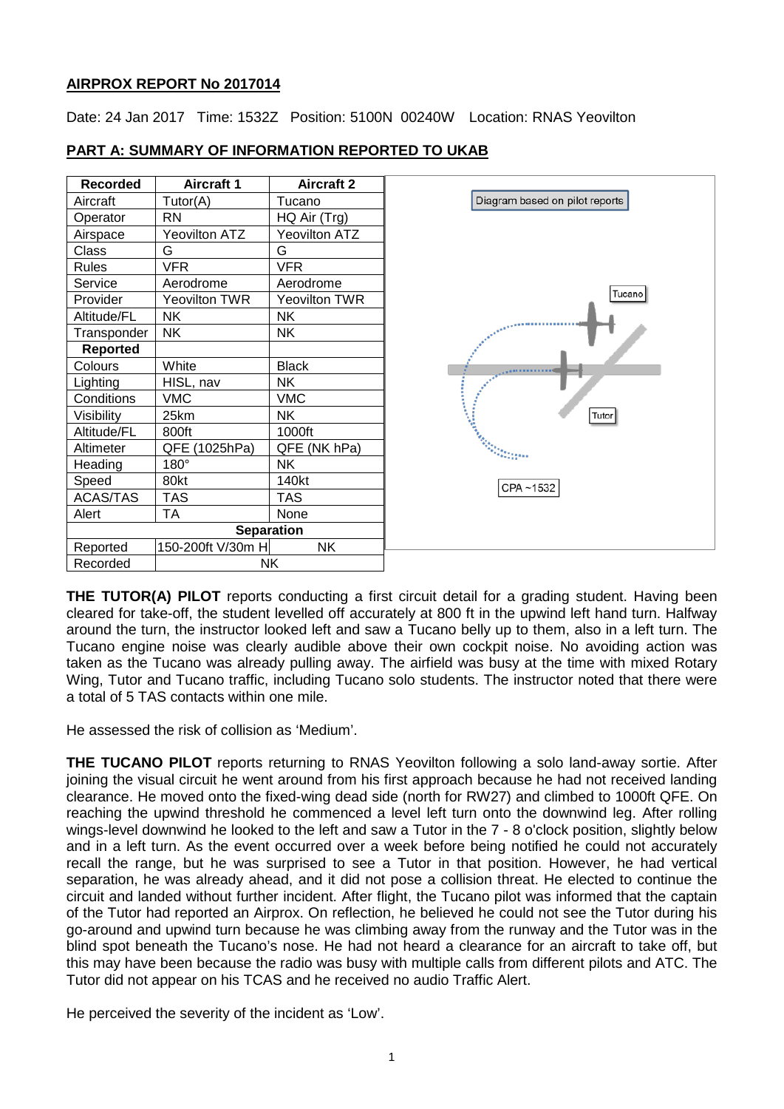### **AIRPROX REPORT No 2017014**

Date: 24 Jan 2017 Time: 1532Z Position: 5100N 00240W Location: RNAS Yeovilton

| <b>Recorded</b> | <b>Aircraft 1</b> | <b>Aircraft 2</b> |                                |
|-----------------|-------------------|-------------------|--------------------------------|
| Aircraft        | Tutor(A)          | Tucano            | Diagram based on pilot reports |
| Operator        | <b>RN</b>         | HQ Air (Trg)      |                                |
| Airspace        | Yeovilton ATZ     | Yeovilton ATZ     |                                |
| Class           | G                 | G                 |                                |
| Rules           | <b>VFR</b>        | <b>VFR</b>        |                                |
| Service         | Aerodrome         | Aerodrome         |                                |
| Provider        | Yeovilton TWR     | Yeovilton TWR     | Tucano                         |
| Altitude/FL     | <b>NK</b>         | NΚ                |                                |
| Transponder     | <b>NK</b>         | <b>NK</b>         |                                |
| <b>Reported</b> |                   |                   |                                |
| Colours         | White             | <b>Black</b>      |                                |
| Lighting        | HISL, nav         | <b>NK</b>         |                                |
| Conditions      | <b>VMC</b>        | <b>VMC</b>        |                                |
| Visibility      | 25km              | <b>NK</b>         | Tutor                          |
| Altitude/FL     | 800ft             | 1000ft            |                                |
| Altimeter       | QFE (1025hPa)     | QFE (NK hPa)      | <b>MARKETTEN</b>               |
| Heading         | 180°              | <b>NK</b>         |                                |
| Speed           | 80kt              | 140kt             | CPA~1532                       |
| ACAS/TAS        | <b>TAS</b>        | <b>TAS</b>        |                                |
| Alert           | <b>TA</b>         | None              |                                |
|                 | <b>Separation</b> |                   |                                |
| Reported        | 150-200ft V/30m H | <b>NK</b>         |                                |
| Recorded        | NΚ                |                   |                                |

## **PART A: SUMMARY OF INFORMATION REPORTED TO UKAB**

**THE TUTOR(A) PILOT** reports conducting a first circuit detail for a grading student. Having been cleared for take-off, the student levelled off accurately at 800 ft in the upwind left hand turn. Halfway around the turn, the instructor looked left and saw a Tucano belly up to them, also in a left turn. The Tucano engine noise was clearly audible above their own cockpit noise. No avoiding action was taken as the Tucano was already pulling away. The airfield was busy at the time with mixed Rotary Wing, Tutor and Tucano traffic, including Tucano solo students. The instructor noted that there were a total of 5 TAS contacts within one mile.

He assessed the risk of collision as 'Medium'.

**THE TUCANO PILOT** reports returning to RNAS Yeovilton following a solo land-away sortie. After joining the visual circuit he went around from his first approach because he had not received landing clearance. He moved onto the fixed-wing dead side (north for RW27) and climbed to 1000ft QFE. On reaching the upwind threshold he commenced a level left turn onto the downwind leg. After rolling wings-level downwind he looked to the left and saw a Tutor in the 7 - 8 o'clock position, slightly below and in a left turn. As the event occurred over a week before being notified he could not accurately recall the range, but he was surprised to see a Tutor in that position. However, he had vertical separation, he was already ahead, and it did not pose a collision threat. He elected to continue the circuit and landed without further incident. After flight, the Tucano pilot was informed that the captain of the Tutor had reported an Airprox. On reflection, he believed he could not see the Tutor during his go-around and upwind turn because he was climbing away from the runway and the Tutor was in the blind spot beneath the Tucano's nose. He had not heard a clearance for an aircraft to take off, but this may have been because the radio was busy with multiple calls from different pilots and ATC. The Tutor did not appear on his TCAS and he received no audio Traffic Alert.

He perceived the severity of the incident as 'Low'.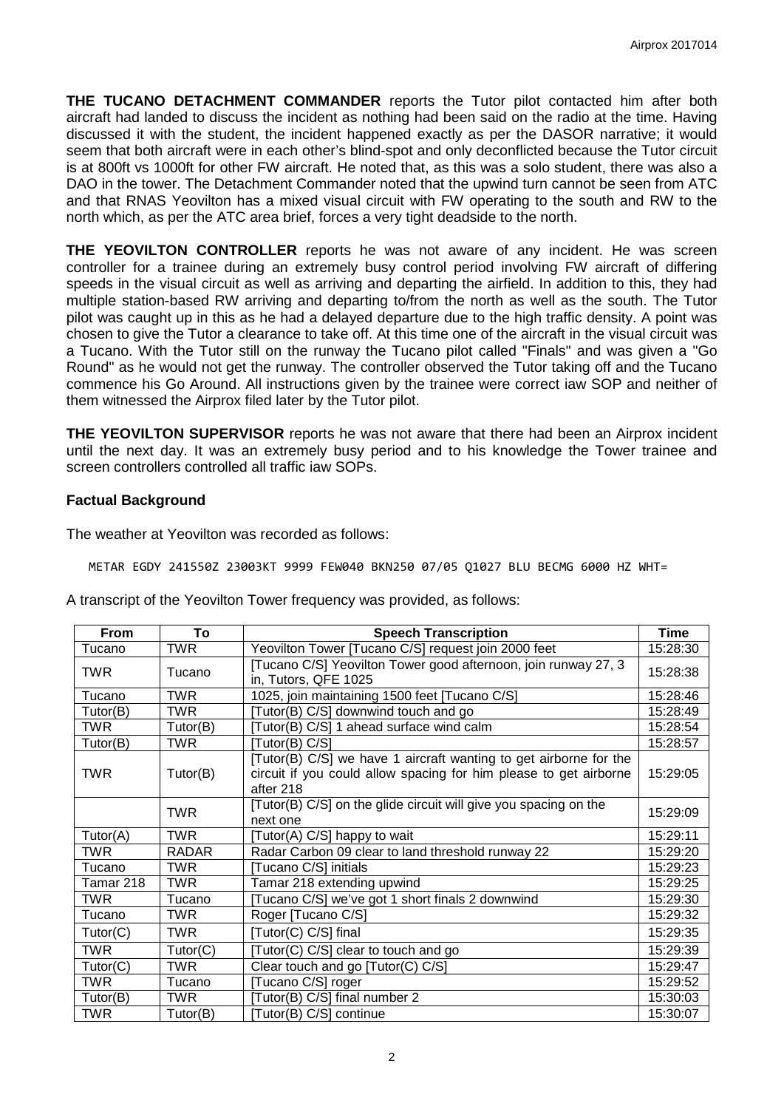**THE TUCANO DETACHMENT COMMANDER** reports the Tutor pilot contacted him after both aircraft had landed to discuss the incident as nothing had been said on the radio at the time. Having discussed it with the student, the incident happened exactly as per the DASOR narrative; it would seem that both aircraft were in each other's blind-spot and only deconflicted because the Tutor circuit is at 800ft vs 1000ft for other FW aircraft. He noted that, as this was a solo student, there was also a DAO in the tower. The Detachment Commander noted that the upwind turn cannot be seen from ATC and that RNAS Yeovilton has a mixed visual circuit with FW operating to the south and RW to the north which, as per the ATC area brief, forces a very tight deadside to the north.

**THE YEOVILTON CONTROLLER** reports he was not aware of any incident. He was screen controller for a trainee during an extremely busy control period involving FW aircraft of differing speeds in the visual circuit as well as arriving and departing the airfield. In addition to this, they had multiple station-based RW arriving and departing to/from the north as well as the south. The Tutor pilot was caught up in this as he had a delayed departure due to the high traffic density. A point was chosen to give the Tutor a clearance to take off. At this time one of the aircraft in the visual circuit was a Tucano. With the Tutor still on the runway the Tucano pilot called "Finals" and was given a "Go Round" as he would not get the runway. The controller observed the Tutor taking off and the Tucano commence his Go Around. All instructions given by the trainee were correct iaw SOP and neither of them witnessed the Airprox filed later by the Tutor pilot.

**THE YEOVILTON SUPERVISOR** reports he was not aware that there had been an Airprox incident until the next day. It was an extremely busy period and to his knowledge the Tower trainee and screen controllers controlled all traffic iaw SOPs.

#### **Factual Background**

The weather at Yeovilton was recorded as follows:

METAR EGDY 241550Z 23003KT 9999 FEW040 BKN250 07/05 Q1027 BLU BECMG 6000 HZ WHT=

A transcript of the Yeovilton Tower frequency was provided, as follows:

| From       | To           | <b>Speech Transcription</b>                                                                                                                         | Time     |
|------------|--------------|-----------------------------------------------------------------------------------------------------------------------------------------------------|----------|
| Tucano     | <b>TWR</b>   | Yeovilton Tower [Tucano C/S] request join 2000 feet                                                                                                 | 15:28:30 |
| <b>TWR</b> | Tucano       | [Tucano C/S] Yeovilton Tower good afternoon, join runway 27, 3<br>in, Tutors, QFE 1025                                                              | 15:28:38 |
| Tucano     | TWR          | 1025, join maintaining 1500 feet [Tucano C/S]                                                                                                       | 15:28:46 |
| Tutor(B)   | TWR          | [Tutor(B) C/S] downwind touch and go                                                                                                                | 15:28:49 |
| <b>TWR</b> | Tutor(B)     | [Tutor(B) C/S] 1 ahead surface wind calm                                                                                                            | 15:28:54 |
| Tutor(B)   | TWR          | [Tutor(B) C/S]                                                                                                                                      | 15:28:57 |
| <b>TWR</b> | Tutor(B)     | [Tutor(B) C/S] we have 1 aircraft wanting to get airborne for the<br>circuit if you could allow spacing for him please to get airborne<br>after 218 | 15:29:05 |
|            | <b>TWR</b>   | [Tutor(B) C/S] on the glide circuit will give you spacing on the<br>next one                                                                        | 15:29:09 |
| Tutor(A)   | <b>TWR</b>   | [Tutor(A) C/S] happy to wait                                                                                                                        | 15:29:11 |
| <b>TWR</b> | <b>RADAR</b> | Radar Carbon 09 clear to land threshold runway 22                                                                                                   | 15:29:20 |
| Tucano     | <b>TWR</b>   | [Tucano C/S] initials                                                                                                                               | 15:29:23 |
| Tamar 218  | <b>TWR</b>   | Tamar 218 extending upwind                                                                                                                          | 15:29:25 |
| TWR        | Tucano       | [Tucano C/S] we've got 1 short finals 2 downwind                                                                                                    | 15:29:30 |
| Tucano     | TWR          | Roger [Tucano C/S]                                                                                                                                  | 15:29:32 |
| Tutor(C)   | <b>TWR</b>   | [Tutor(C) C/S] final                                                                                                                                | 15:29:35 |
| <b>TWR</b> | Tutor(C)     | [Tutor(C) C/S] clear to touch and go                                                                                                                | 15:29:39 |
| Tutor(C)   | <b>TWR</b>   | Clear touch and go [Tutor(C) C/S]                                                                                                                   | 15:29:47 |
| <b>TWR</b> | Tucano       | [Tucano C/S] roger                                                                                                                                  | 15:29:52 |
| Tutor(B)   | <b>TWR</b>   | [Tutor(B) C/S] final number 2                                                                                                                       | 15:30:03 |
| <b>TWR</b> | Tutor(B)     | [Tutor(B) C/S] continue                                                                                                                             | 15:30:07 |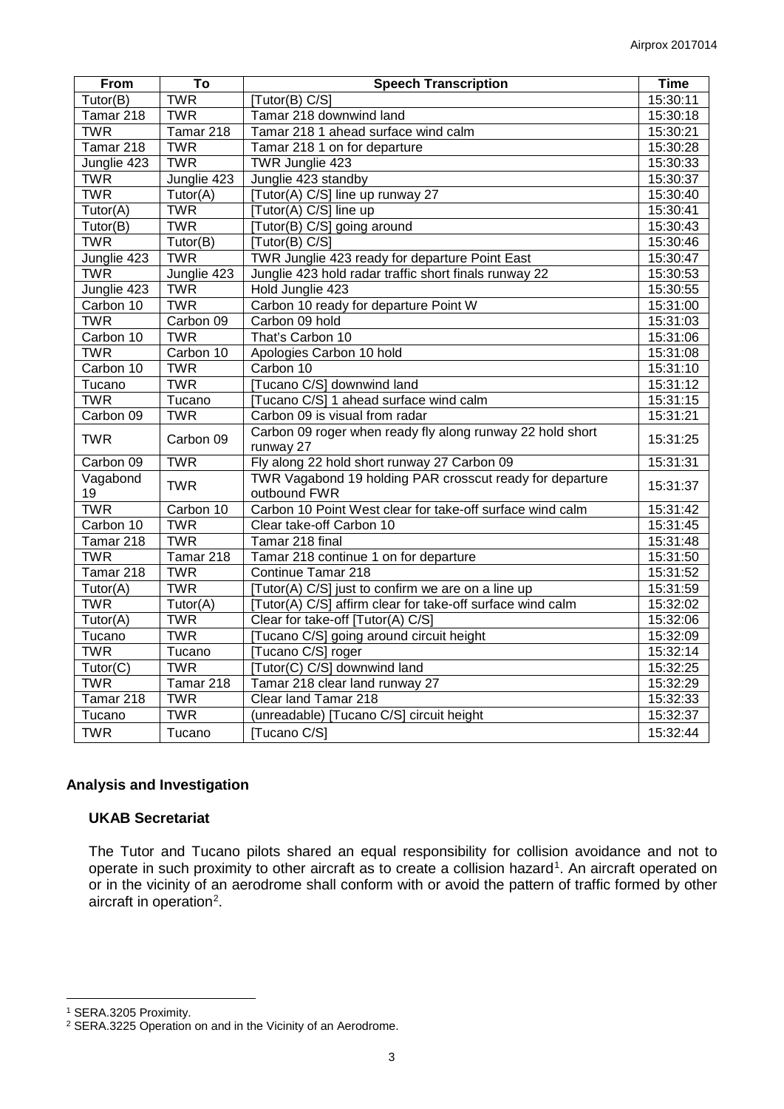| From                    | To          | <b>Speech Transcription</b>                                | <b>Time</b> |
|-------------------------|-------------|------------------------------------------------------------|-------------|
| Tutor(B)                | <b>TWR</b>  | [Tutor(B) C/S]                                             | 15:30:11    |
| Tamar 218               | <b>TWR</b>  | Tamar 218 downwind land                                    | 15:30:18    |
| <b>TWR</b>              | Tamar 218   | Tamar 218 1 ahead surface wind calm                        | 15:30:21    |
| Tamar 218               | <b>TWR</b>  | Tamar 218 1 on for departure                               | 15:30:28    |
| Junglie 423             | <b>TWR</b>  | TWR Junglie 423                                            | 15:30:33    |
| <b>TWR</b>              | Junglie 423 | Junglie 423 standby                                        | 15:30:37    |
| <b>TWR</b>              | Tutor(A)    | [Tutor(A) C/S] line up runway 27                           | 15:30:40    |
| Tutor(A)                | <b>TWR</b>  | [Tutor(A) C/S] line up                                     | 15:30:41    |
| Tutor(B)                | <b>TWR</b>  | [Tutor(B) C/S] going around                                | 15:30:43    |
| <b>TWR</b>              | Tutor(B)    | [Tutor(B) C/S]                                             | 15:30:46    |
| Junglie 423             | <b>TWR</b>  | TWR Junglie 423 ready for departure Point East             | 15:30:47    |
| <b>TWR</b>              | Junglie 423 | Junglie 423 hold radar traffic short finals runway 22      | 15:30:53    |
| Junglie 423             | <b>TWR</b>  | Hold Junglie 423                                           | 15:30:55    |
| Carbon 10               | <b>TWR</b>  | Carbon 10 ready for departure Point W                      | 15:31:00    |
| <b>TWR</b>              | Carbon 09   | Carbon 09 hold                                             | 15:31:03    |
| Carbon 10               | <b>TWR</b>  | That's Carbon 10                                           | 15:31:06    |
| <b>TWR</b>              | Carbon 10   | Apologies Carbon 10 hold                                   | 15:31:08    |
| Carbon 10               | <b>TWR</b>  | Carbon 10                                                  | 15:31:10    |
| Tucano                  | <b>TWR</b>  | [Tucano C/S] downwind land                                 | 15:31:12    |
| <b>TWR</b>              | Tucano      | [Tucano C/S] 1 ahead surface wind calm                     | 15:31:15    |
| Carbon 09               | <b>TWR</b>  | Carbon 09 is visual from radar                             | 15:31:21    |
| <b>TWR</b>              | Carbon 09   | Carbon 09 roger when ready fly along runway 22 hold short  | 15:31:25    |
|                         |             | runway 27                                                  |             |
| Carbon 09               | <b>TWR</b>  | Fly along 22 hold short runway 27 Carbon 09                | 15:31:31    |
| Vagabond                | <b>TWR</b>  | TWR Vagabond 19 holding PAR crosscut ready for departure   | 15:31:37    |
| 19                      |             | outbound FWR                                               |             |
| <b>TWR</b>              | Carbon 10   | Carbon 10 Point West clear for take-off surface wind calm  | 15:31:42    |
| Carbon 10               | <b>TWR</b>  | Clear take-off Carbon 10                                   | 15:31:45    |
| Tamar 218               | <b>TWR</b>  | Tamar 218 final                                            | 15:31:48    |
| <b>TWR</b>              | Tamar 218   | Tamar 218 continue 1 on for departure                      | 15:31:50    |
| Tamar 218               | <b>TWR</b>  | Continue Tamar 218                                         | 15:31:52    |
| Tutor(A)                | <b>TWR</b>  | [Tutor(A) C/S] just to confirm we are on a line up         | 15:31:59    |
| <b>TWR</b>              | Tutor(A)    | [Tutor(A) C/S] affirm clear for take-off surface wind calm | 15:32:02    |
| Tutor( $\overline{A}$ ) | <b>TWR</b>  | Clear for take-off [Tutor(A) C/S]                          | 15:32:06    |
| Tucano                  | <b>TWR</b>  | [Tucano C/S] going around circuit height                   | 15:32:09    |
| <b>TWR</b>              | Tucano      | Tucano C/S] roger                                          | 15:32:14    |
| Tutor(C)                | <b>TWR</b>  | [Tutor(C) C/S] downwind land                               | 15:32:25    |
| <b>TWR</b>              | Tamar 218   | Tamar 218 clear land runway 27                             | 15:32:29    |
| Tamar 218               | <b>TWR</b>  | Clear land Tamar 218                                       | 15:32:33    |
| Tucano                  | <b>TWR</b>  | (unreadable) [Tucano C/S] circuit height                   | 15:32:37    |
| <b>TWR</b>              | Tucano      | [Tucano C/S]                                               | 15:32:44    |

#### **Analysis and Investigation**

#### **UKAB Secretariat**

The Tutor and Tucano pilots shared an equal responsibility for collision avoidance and not to operate in such proximity to other aircraft as to create a collision hazard<sup>[1](#page-2-0)</sup>. An aircraft operated on or in the vicinity of an aerodrome shall conform with or avoid the pattern of traffic formed by other aircraft in operation<sup>[2](#page-2-1)</sup>.

l

<span id="page-2-0"></span><sup>1</sup> SERA.3205 Proximity.

<span id="page-2-1"></span><sup>2</sup> SERA.3225 Operation on and in the Vicinity of an Aerodrome.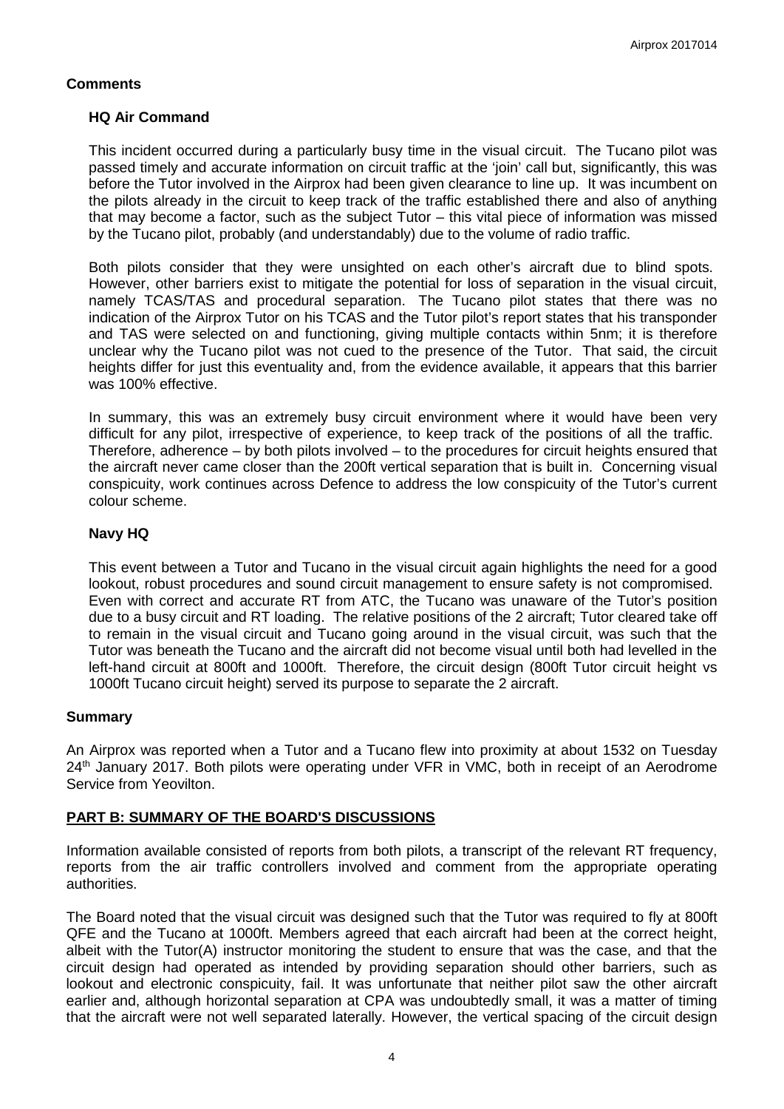## **Comments**

## **HQ Air Command**

This incident occurred during a particularly busy time in the visual circuit. The Tucano pilot was passed timely and accurate information on circuit traffic at the 'join' call but, significantly, this was before the Tutor involved in the Airprox had been given clearance to line up. It was incumbent on the pilots already in the circuit to keep track of the traffic established there and also of anything that may become a factor, such as the subject Tutor – this vital piece of information was missed by the Tucano pilot, probably (and understandably) due to the volume of radio traffic.

Both pilots consider that they were unsighted on each other's aircraft due to blind spots. However, other barriers exist to mitigate the potential for loss of separation in the visual circuit, namely TCAS/TAS and procedural separation. The Tucano pilot states that there was no indication of the Airprox Tutor on his TCAS and the Tutor pilot's report states that his transponder and TAS were selected on and functioning, giving multiple contacts within 5nm; it is therefore unclear why the Tucano pilot was not cued to the presence of the Tutor. That said, the circuit heights differ for just this eventuality and, from the evidence available, it appears that this barrier was 100% effective.

In summary, this was an extremely busy circuit environment where it would have been very difficult for any pilot, irrespective of experience, to keep track of the positions of all the traffic. Therefore, adherence – by both pilots involved – to the procedures for circuit heights ensured that the aircraft never came closer than the 200ft vertical separation that is built in. Concerning visual conspicuity, work continues across Defence to address the low conspicuity of the Tutor's current colour scheme.

## **Navy HQ**

This event between a Tutor and Tucano in the visual circuit again highlights the need for a good lookout, robust procedures and sound circuit management to ensure safety is not compromised. Even with correct and accurate RT from ATC, the Tucano was unaware of the Tutor's position due to a busy circuit and RT loading. The relative positions of the 2 aircraft; Tutor cleared take off to remain in the visual circuit and Tucano going around in the visual circuit, was such that the Tutor was beneath the Tucano and the aircraft did not become visual until both had levelled in the left-hand circuit at 800ft and 1000ft. Therefore, the circuit design (800ft Tutor circuit height vs 1000ft Tucano circuit height) served its purpose to separate the 2 aircraft.

## **Summary**

An Airprox was reported when a Tutor and a Tucano flew into proximity at about 1532 on Tuesday 24<sup>th</sup> January 2017. Both pilots were operating under VFR in VMC, both in receipt of an Aerodrome Service from Yeovilton.

# **PART B: SUMMARY OF THE BOARD'S DISCUSSIONS**

Information available consisted of reports from both pilots, a transcript of the relevant RT frequency, reports from the air traffic controllers involved and comment from the appropriate operating authorities.

The Board noted that the visual circuit was designed such that the Tutor was required to fly at 800ft QFE and the Tucano at 1000ft. Members agreed that each aircraft had been at the correct height, albeit with the Tutor(A) instructor monitoring the student to ensure that was the case, and that the circuit design had operated as intended by providing separation should other barriers, such as lookout and electronic conspicuity, fail. It was unfortunate that neither pilot saw the other aircraft earlier and, although horizontal separation at CPA was undoubtedly small, it was a matter of timing that the aircraft were not well separated laterally. However, the vertical spacing of the circuit design